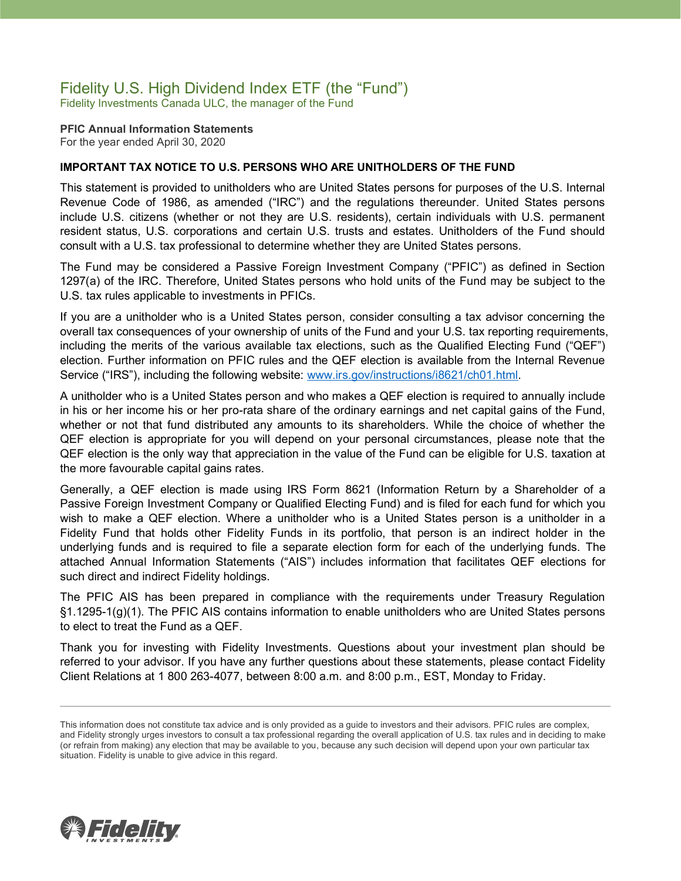### Fidelity U.S. High Dividend Index ETF (the "Fund")

Fidelity Investments Canada ULC, the manager of the Fund

**PFIC Annual Information Statements** For the year ended April 30, 2020

### **IMPORTANT TAX NOTICE TO U.S. PERSONS WHO ARE UNITHOLDERS OF THE FUND**

This statement is provided to unitholders who are United States persons for purposes of the U.S. Internal Revenue Code of 1986, as amended ("IRC") and the regulations thereunder. United States persons include U.S. citizens (whether or not they are U.S. residents), certain individuals with U.S. permanent resident status, U.S. corporations and certain U.S. trusts and estates. Unitholders of the Fund should consult with a U.S. tax professional to determine whether they are United States persons.

The Fund may be considered a Passive Foreign Investment Company ("PFIC") as defined in Section 1297(a) of the IRC. Therefore, United States persons who hold units of the Fund may be subject to the U.S. tax rules applicable to investments in PFICs.

If you are a unitholder who is a United States person, consider consulting a tax advisor concerning the overall tax consequences of your ownership of units of the Fund and your U.S. tax reporting requirements, including the merits of the various available tax elections, such as the Qualified Electing Fund ("QEF") election. Further information on PFIC rules and the QEF election is available from the Internal Revenue Service ("IRS"), including the following website: [www.irs.gov/instructions/i8621/ch01.html.](http://www.irs.gov/instructions/i8621/ch01.html)

A unitholder who is a United States person and who makes a QEF election is required to annually include in his or her income his or her pro-rata share of the ordinary earnings and net capital gains of the Fund, whether or not that fund distributed any amounts to its shareholders. While the choice of whether the QEF election is appropriate for you will depend on your personal circumstances, please note that the QEF election is the only way that appreciation in the value of the Fund can be eligible for U.S. taxation at the more favourable capital gains rates.

Generally, a QEF election is made using IRS Form 8621 (Information Return by a Shareholder of a Passive Foreign Investment Company or Qualified Electing Fund) and is filed for each fund for which you wish to make a QEF election. Where a unitholder who is a United States person is a unitholder in a Fidelity Fund that holds other Fidelity Funds in its portfolio, that person is an indirect holder in the underlying funds and is required to file a separate election form for each of the underlying funds. The attached Annual Information Statements ("AIS") includes information that facilitates QEF elections for such direct and indirect Fidelity holdings.

The PFIC AIS has been prepared in compliance with the requirements under Treasury Regulation §1.1295-1(g)(1). The PFIC AIS contains information to enable unitholders who are United States persons to elect to treat the Fund as a QEF.

Thank you for investing with Fidelity Investments. Questions about your investment plan should be referred to your advisor. If you have any further questions about these statements, please contact Fidelity Client Relations at 1 800 263-4077, between 8:00 a.m. and 8:00 p.m., EST, Monday to Friday.



This information does not constitute tax advice and is only provided as a guide to investors and their advisors. PFIC rules are complex, and Fidelity strongly urges investors to consult a tax professional regarding the overall application of U.S. tax rules and in deciding to make (or refrain from making) any election that may be available to you, because any such decision will depend upon your own particular tax situation. Fidelity is unable to give advice in this regard.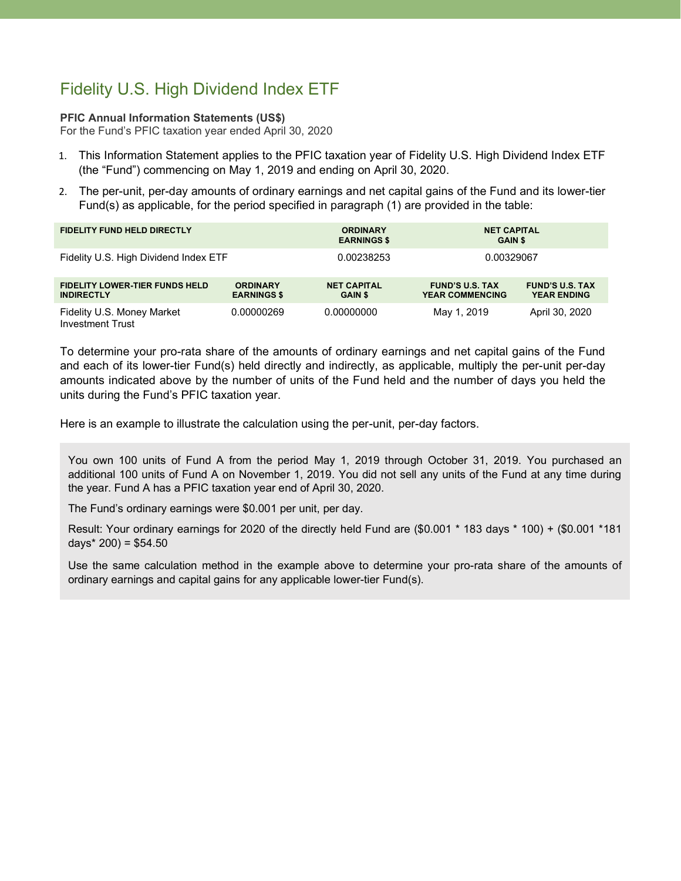# Fidelity U.S. High Dividend Index ETF

### **PFIC Annual Information Statements (US\$)**

For the Fund's PFIC taxation year ended April 30, 2020

- 1. This Information Statement applies to the PFIC taxation year of Fidelity U.S. High Dividend Index ETF (the "Fund") commencing on May 1, 2019 and ending on April 30, 2020.
- 2. The per-unit, per-day amounts of ordinary earnings and net capital gains of the Fund and its lower-tier Fund(s) as applicable, for the period specified in paragraph (1) are provided in the table:

| <b>FIDELITY FUND HELD DIRECTLY</b>                         |                                       | <b>ORDINARY</b><br><b>EARNINGS \$</b> | <b>NET CAPITAL</b><br><b>GAIN \$</b>             |                                              |
|------------------------------------------------------------|---------------------------------------|---------------------------------------|--------------------------------------------------|----------------------------------------------|
| Fidelity U.S. High Dividend Index ETF                      |                                       | 0.00238253                            | 0.00329067                                       |                                              |
| <b>FIDELITY LOWER-TIER FUNDS HELD</b><br><b>INDIRECTLY</b> | <b>ORDINARY</b><br><b>EARNINGS \$</b> | <b>NET CAPITAL</b><br><b>GAIN \$</b>  | <b>FUND'S U.S. TAX</b><br><b>YEAR COMMENCING</b> | <b>FUND'S U.S. TAX</b><br><b>YEAR ENDING</b> |
| Fidelity U.S. Money Market<br><b>Investment Trust</b>      | 0.00000269                            | 0.00000000                            | May 1, 2019                                      | April 30, 2020                               |

To determine your pro-rata share of the amounts of ordinary earnings and net capital gains of the Fund and each of its lower-tier Fund(s) held directly and indirectly, as applicable, multiply the per-unit per-day amounts indicated above by the number of units of the Fund held and the number of days you held the units during the Fund's PFIC taxation year.

Here is an example to illustrate the calculation using the per-unit, per-day factors.

You own 100 units of Fund A from the period May 1, 2019 through October 31, 2019. You purchased an additional 100 units of Fund A on November 1, 2019. You did not sell any units of the Fund at any time during the year. Fund A has a PFIC taxation year end of April 30, 2020.

The Fund's ordinary earnings were \$0.001 per unit, per day.

Result: Your ordinary earnings for 2020 of the directly held Fund are (\$0.001 \* 183 days \* 100) + (\$0.001 \*181 days $*$  200) = \$54.50

Use the same calculation method in the example above to determine your pro-rata share of the amounts of ordinary earnings and capital gains for any applicable lower-tier Fund(s).